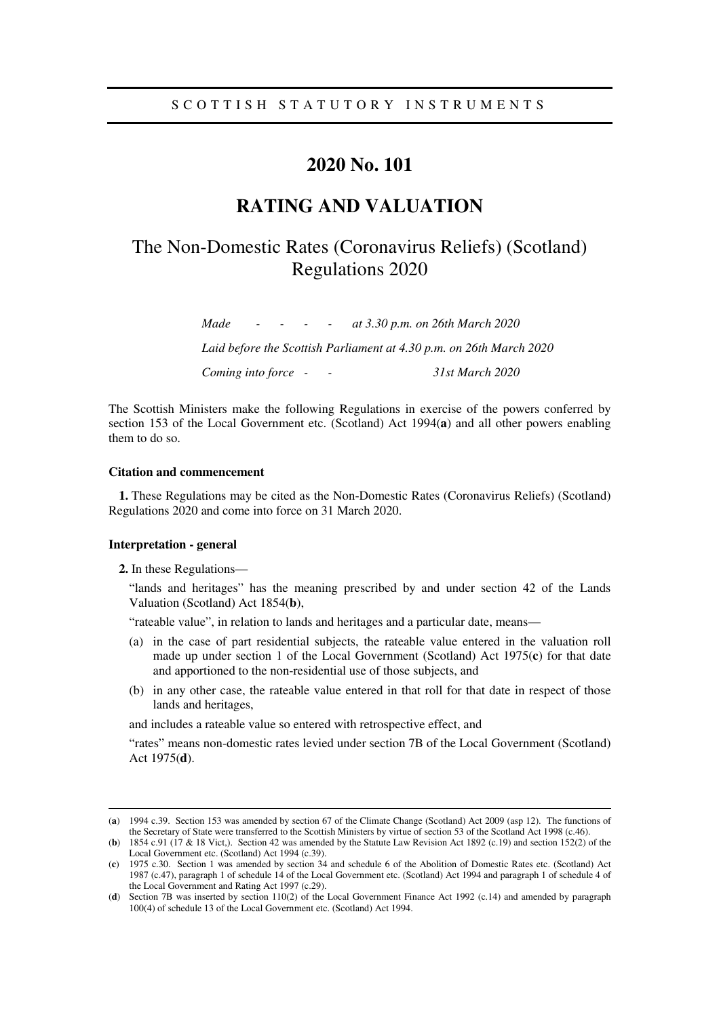# **2020 No. 101**

# **RATING AND VALUATION**

# The Non-Domestic Rates (Coronavirus Reliefs) (Scotland) Regulations 2020

*Made - - - - at 3.30 p.m. on 26th March 2020 Laid before the Scottish Parliament at 4.30 p.m. on 26th March 2020 Coming into force - - 31st March 2020* 

The Scottish Ministers make the following Regulations in exercise of the powers conferred by section 153 of the Local Government etc. (Scotland) Act 1994(**a**) and all other powers enabling them to do so.

#### **Citation and commencement**

**1.** These Regulations may be cited as the Non-Domestic Rates (Coronavirus Reliefs) (Scotland) Regulations 2020 and come into force on 31 March 2020.

#### **Interpretation - general**

-

**2.** In these Regulations—

"lands and heritages" has the meaning prescribed by and under section 42 of the Lands Valuation (Scotland) Act 1854(**b**),

"rateable value", in relation to lands and heritages and a particular date, means—

- (a) in the case of part residential subjects, the rateable value entered in the valuation roll made up under section 1 of the Local Government (Scotland) Act 1975(**c**) for that date and apportioned to the non-residential use of those subjects, and
- (b) in any other case, the rateable value entered in that roll for that date in respect of those lands and heritages,

and includes a rateable value so entered with retrospective effect, and

"rates" means non-domestic rates levied under section 7B of the Local Government (Scotland) Act 1975(**d**).

<sup>(</sup>**a**) 1994 c.39. Section 153 was amended by section 67 of the Climate Change (Scotland) Act 2009 (asp 12). The functions of the Secretary of State were transferred to the Scottish Ministers by virtue of section 53 of the Scotland Act 1998 (c.46).

<sup>(</sup>**b**) 1854 c.91 (17 & 18 Vict,). Section 42 was amended by the Statute Law Revision Act 1892 (c.19) and section 152(2) of the Local Government etc. (Scotland) Act 1994 (c.39).

<sup>(</sup>**c**) 1975 c.30. Section 1 was amended by section 34 and schedule 6 of the Abolition of Domestic Rates etc. (Scotland) Act 1987 (c.47), paragraph 1 of schedule 14 of the Local Government etc. (Scotland) Act 1994 and paragraph 1 of schedule 4 of the Local Government and Rating Act 1997 (c.29).

<sup>(</sup>**d**) Section 7B was inserted by section 110(2) of the Local Government Finance Act 1992 (c.14) and amended by paragraph 100(4) of schedule 13 of the Local Government etc. (Scotland) Act 1994.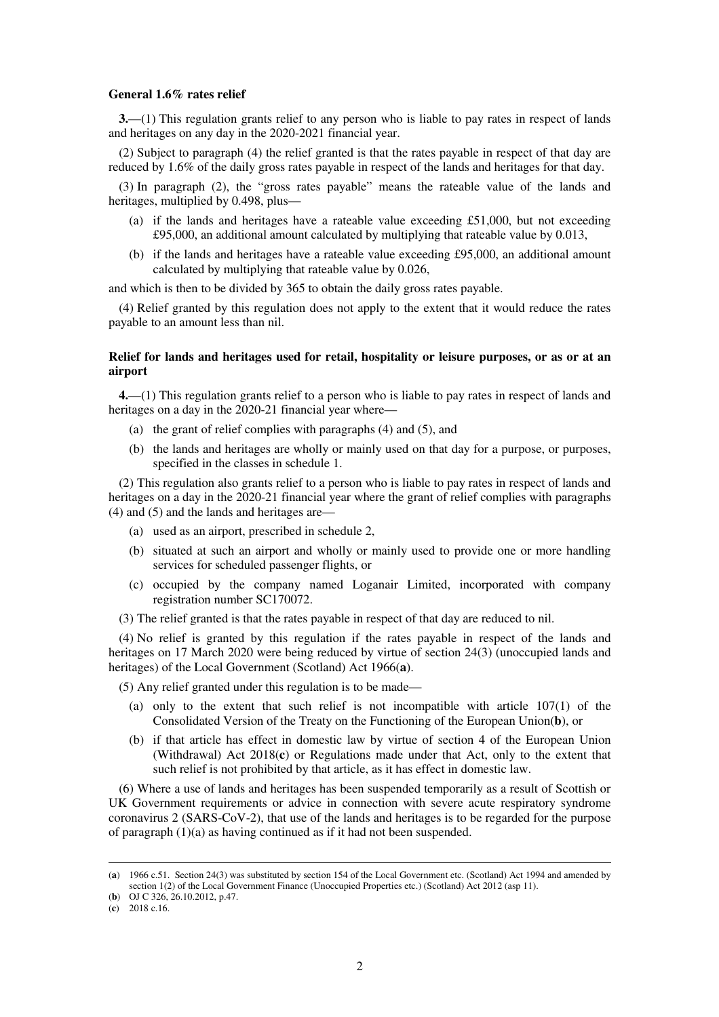#### **General 1.6% rates relief**

**3.**—(1) This regulation grants relief to any person who is liable to pay rates in respect of lands and heritages on any day in the 2020-2021 financial year.

(2) Subject to paragraph (4) the relief granted is that the rates payable in respect of that day are reduced by 1.6% of the daily gross rates payable in respect of the lands and heritages for that day.

(3) In paragraph (2), the "gross rates payable" means the rateable value of the lands and heritages, multiplied by 0.498, plus—

- (a) if the lands and heritages have a rateable value exceeding £51,000, but not exceeding £95,000, an additional amount calculated by multiplying that rateable value by 0.013,
- (b) if the lands and heritages have a rateable value exceeding £95,000, an additional amount calculated by multiplying that rateable value by 0.026,

and which is then to be divided by 365 to obtain the daily gross rates payable.

(4) Relief granted by this regulation does not apply to the extent that it would reduce the rates payable to an amount less than nil.

#### **Relief for lands and heritages used for retail, hospitality or leisure purposes, or as or at an airport**

**4.**—(1) This regulation grants relief to a person who is liable to pay rates in respect of lands and heritages on a day in the 2020-21 financial year where—

- (a) the grant of relief complies with paragraphs (4) and (5), and
- (b) the lands and heritages are wholly or mainly used on that day for a purpose, or purposes, specified in the classes in schedule 1.

(2) This regulation also grants relief to a person who is liable to pay rates in respect of lands and heritages on a day in the 2020-21 financial year where the grant of relief complies with paragraphs (4) and (5) and the lands and heritages are—

- (a) used as an airport, prescribed in schedule 2,
- (b) situated at such an airport and wholly or mainly used to provide one or more handling services for scheduled passenger flights, or
- (c) occupied by the company named Loganair Limited, incorporated with company registration number SC170072.
- (3) The relief granted is that the rates payable in respect of that day are reduced to nil.

(4) No relief is granted by this regulation if the rates payable in respect of the lands and heritages on 17 March 2020 were being reduced by virtue of section 24(3) (unoccupied lands and heritages) of the Local Government (Scotland) Act 1966(**a**).

(5) Any relief granted under this regulation is to be made—

- (a) only to the extent that such relief is not incompatible with article 107(1) of the Consolidated Version of the Treaty on the Functioning of the European Union(**b**), or
- (b) if that article has effect in domestic law by virtue of section 4 of the European Union (Withdrawal) Act 2018(**c**) or Regulations made under that Act, only to the extent that such relief is not prohibited by that article, as it has effect in domestic law.

(6) Where a use of lands and heritages has been suspended temporarily as a result of Scottish or UK Government requirements or advice in connection with severe acute respiratory syndrome coronavirus 2 (SARS-CoV-2), that use of the lands and heritages is to be regarded for the purpose of paragraph (1)(a) as having continued as if it had not been suspended.

-

<sup>(</sup>**a**) 1966 c.51. Section 24(3) was substituted by section 154 of the Local Government etc. (Scotland) Act 1994 and amended by section 1(2) of the Local Government Finance (Unoccupied Properties etc.) (Scotland) Act 2012 (asp 11).

<sup>(</sup>**b**) OJ C 326, 26.10.2012, p.47.

<sup>(</sup>**c**) 2018 c.16.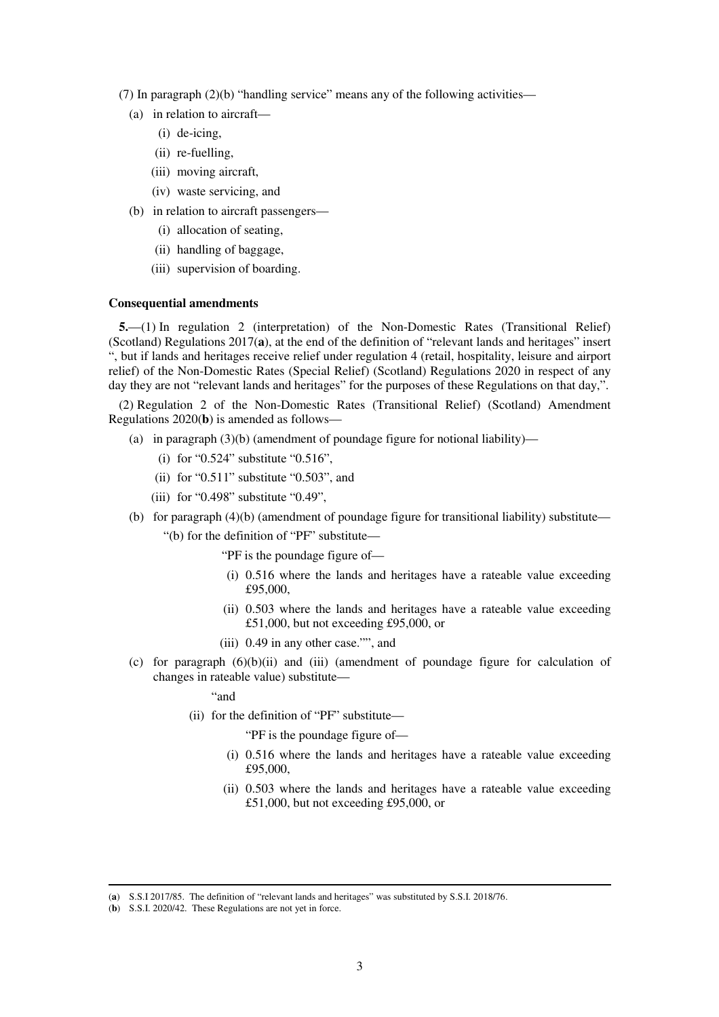- (7) In paragraph (2)(b) "handling service" means any of the following activities—
	- (a) in relation to aircraft—
		- (i) de-icing,
		- (ii) re-fuelling,
		- (iii) moving aircraft,
		- (iv) waste servicing, and
	- (b) in relation to aircraft passengers—
		- (i) allocation of seating,
		- (ii) handling of baggage,
		- (iii) supervision of boarding.

#### **Consequential amendments**

**5.**—(1) In regulation 2 (interpretation) of the Non-Domestic Rates (Transitional Relief) (Scotland) Regulations 2017(**a**), at the end of the definition of "relevant lands and heritages" insert ", but if lands and heritages receive relief under regulation 4 (retail, hospitality, leisure and airport relief) of the Non-Domestic Rates (Special Relief) (Scotland) Regulations 2020 in respect of any day they are not "relevant lands and heritages" for the purposes of these Regulations on that day,".

(2) Regulation 2 of the Non-Domestic Rates (Transitional Relief) (Scotland) Amendment Regulations 2020(**b**) is amended as follows—

- (a) in paragraph  $(3)(b)$  (amendment of poundage figure for notional liability)—
	- (i) for "0.524" substitute "0.516",
	- (ii) for " $0.511$ " substitute " $0.503$ ", and
	- (iii) for "0.498" substitute "0.49",
- (b) for paragraph (4)(b) (amendment of poundage figure for transitional liability) substitute—
	- "(b) for the definition of "PF" substitute—
		- "PF is the poundage figure of—
		- (i) 0.516 where the lands and heritages have a rateable value exceeding £95,000,
		- (ii) 0.503 where the lands and heritages have a rateable value exceeding £51,000, but not exceeding £95,000, or
		- (iii) 0.49 in any other case."", and
- (c) for paragraph (6)(b)(ii) and (iii) (amendment of poundage figure for calculation of changes in rateable value) substitute—

"and

(ii) for the definition of "PF" substitute—

"PF is the poundage figure of—

- (i) 0.516 where the lands and heritages have a rateable value exceeding £95,000,
- (ii) 0.503 where the lands and heritages have a rateable value exceeding £51,000, but not exceeding £95,000, or

-

<sup>(</sup>**a**) S.S.I 2017/85. The definition of "relevant lands and heritages" was substituted by S.S.I. 2018/76.

<sup>(</sup>**b**) S.S.I. 2020/42. These Regulations are not yet in force.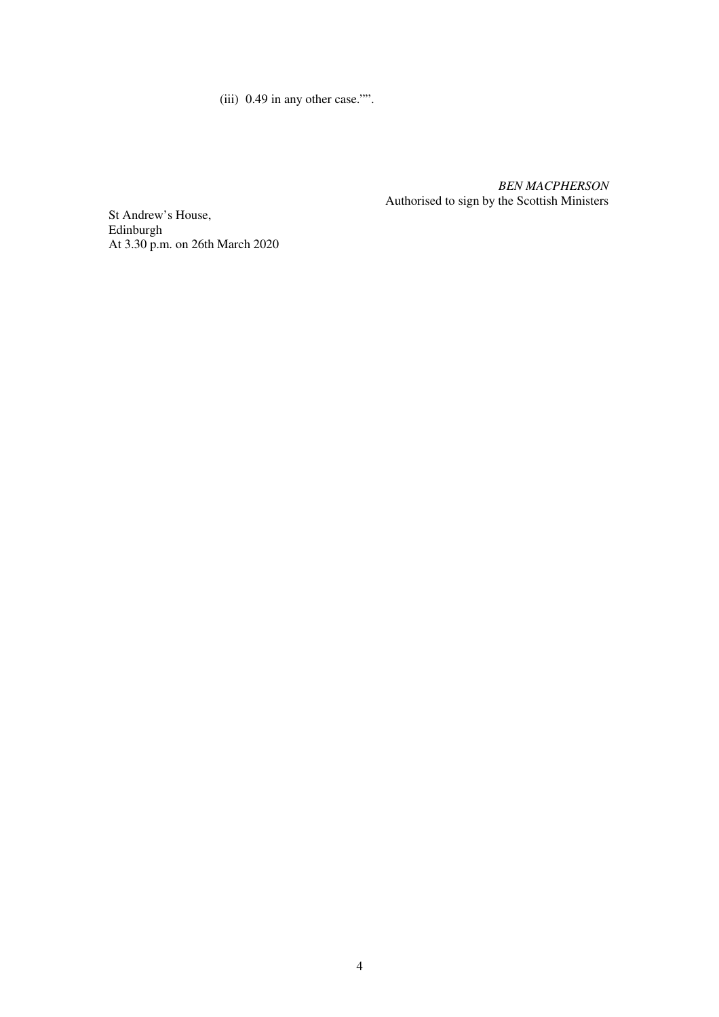(iii) 0.49 in any other case."".

*BEN MACPHERSON* Authorised to sign by the Scottish Ministers

St Andrew's House, Edinburgh At 3.30 p.m. on 26th March 2020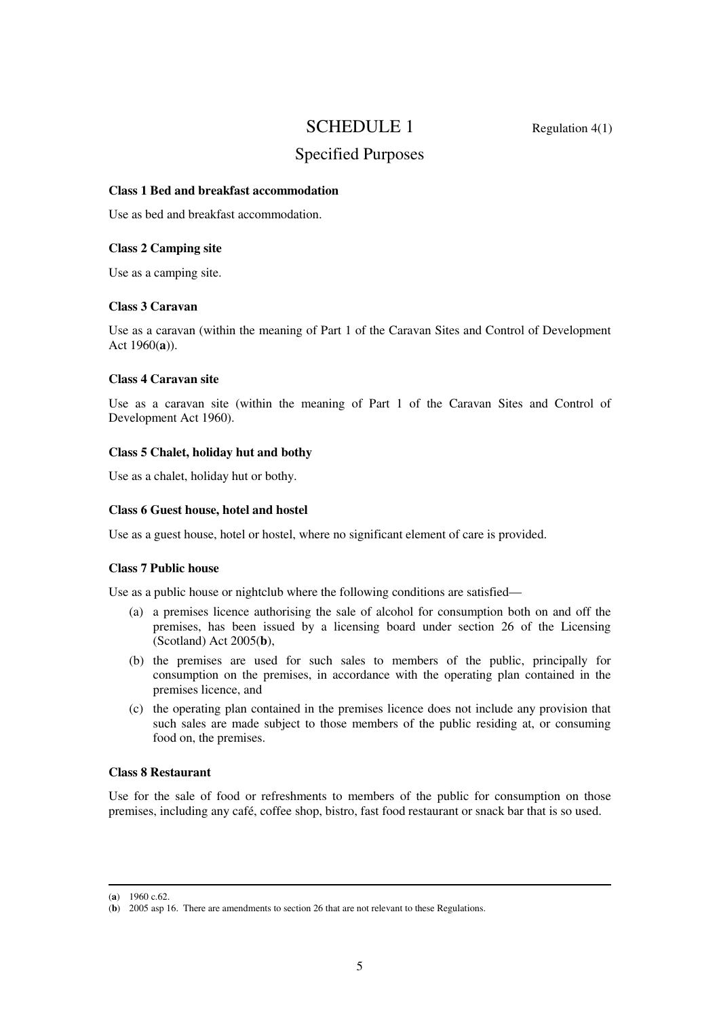## SCHEDULE 1 Regulation 4(1)

# Specified Purposes

#### **Class 1 Bed and breakfast accommodation**

Use as bed and breakfast accommodation.

#### **Class 2 Camping site**

Use as a camping site.

## **Class 3 Caravan**

Use as a caravan (within the meaning of Part 1 of the Caravan Sites and Control of Development Act 1960(**a**)).

#### **Class 4 Caravan site**

Use as a caravan site (within the meaning of Part 1 of the Caravan Sites and Control of Development Act 1960).

## **Class 5 Chalet, holiday hut and bothy**

Use as a chalet, holiday hut or bothy.

#### **Class 6 Guest house, hotel and hostel**

Use as a guest house, hotel or hostel, where no significant element of care is provided.

#### **Class 7 Public house**

Use as a public house or nightclub where the following conditions are satisfied—

- (a) a premises licence authorising the sale of alcohol for consumption both on and off the premises, has been issued by a licensing board under section 26 of the Licensing (Scotland) Act 2005(**b**),
- (b) the premises are used for such sales to members of the public, principally for consumption on the premises, in accordance with the operating plan contained in the premises licence, and
- (c) the operating plan contained in the premises licence does not include any provision that such sales are made subject to those members of the public residing at, or consuming food on, the premises.

## **Class 8 Restaurant**

Use for the sale of food or refreshments to members of the public for consumption on those premises, including any café, coffee shop, bistro, fast food restaurant or snack bar that is so used.

-

<sup>(</sup>**a**) 1960 c.62.

<sup>(</sup>**b**) 2005 asp 16. There are amendments to section 26 that are not relevant to these Regulations.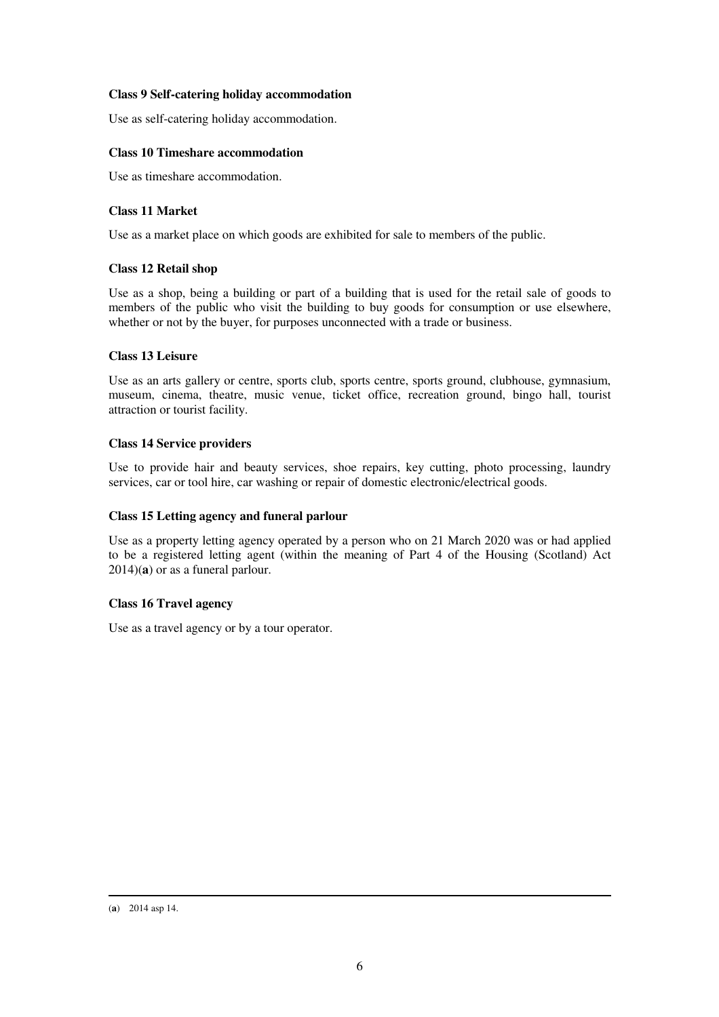## **Class 9 Self-catering holiday accommodation**

Use as self-catering holiday accommodation.

## **Class 10 Timeshare accommodation**

Use as timeshare accommodation.

## **Class 11 Market**

Use as a market place on which goods are exhibited for sale to members of the public.

## **Class 12 Retail shop**

Use as a shop, being a building or part of a building that is used for the retail sale of goods to members of the public who visit the building to buy goods for consumption or use elsewhere, whether or not by the buyer, for purposes unconnected with a trade or business.

## **Class 13 Leisure**

Use as an arts gallery or centre, sports club, sports centre, sports ground, clubhouse, gymnasium, museum, cinema, theatre, music venue, ticket office, recreation ground, bingo hall, tourist attraction or tourist facility.

## **Class 14 Service providers**

Use to provide hair and beauty services, shoe repairs, key cutting, photo processing, laundry services, car or tool hire, car washing or repair of domestic electronic/electrical goods.

#### **Class 15 Letting agency and funeral parlour**

Use as a property letting agency operated by a person who on 21 March 2020 was or had applied to be a registered letting agent (within the meaning of Part 4 of the Housing (Scotland) Act 2014)(**a**) or as a funeral parlour.

## **Class 16 Travel agency**

Use as a travel agency or by a tour operator.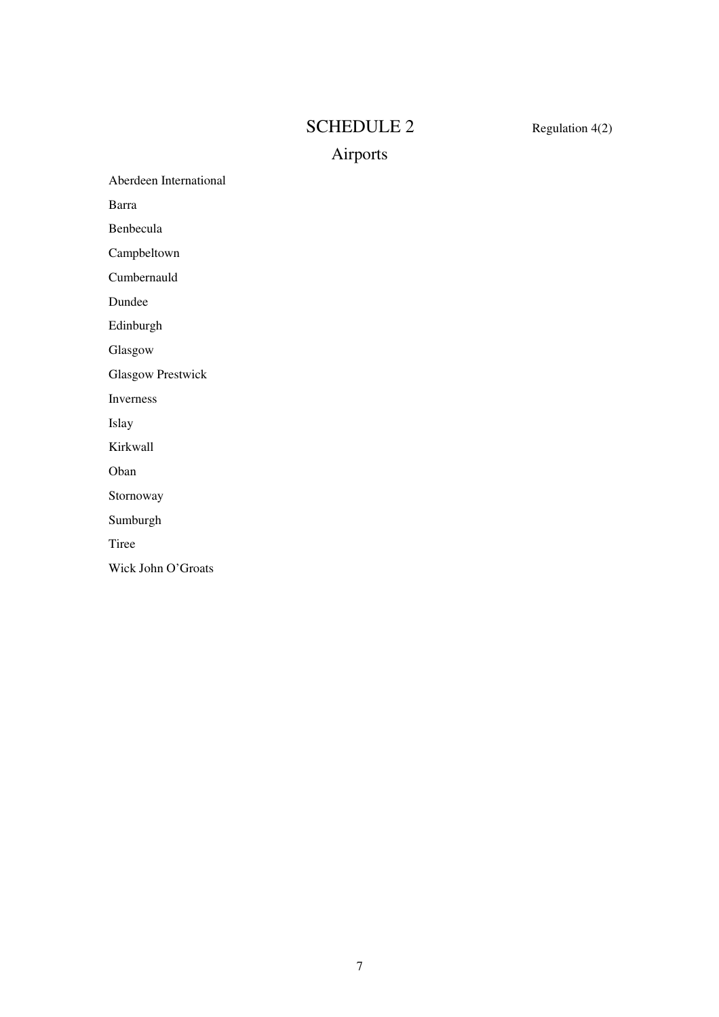# SCHEDULE 2 Regulation 4(2)

# Airports

Aberdeen International

Barra

Benbecula

Campbeltown

Cumbernauld

Dundee

Edinburgh

Glasgow

Glasgow Prestwick

Inverness

Islay

Kirkwall

Oban

Stornoway

Sumburgh

Tiree

Wick John O'Groats